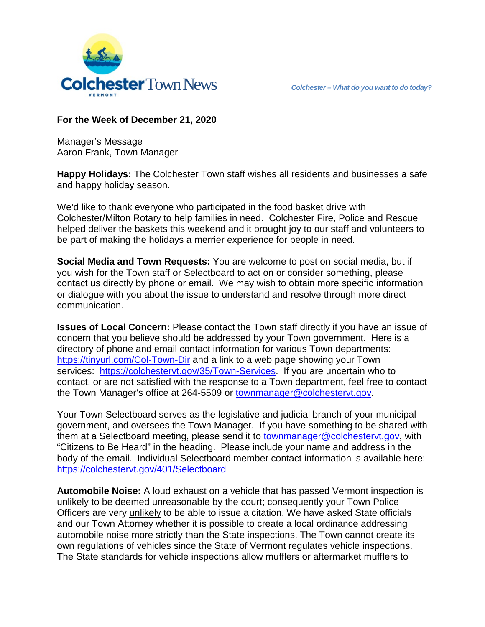

## **For the Week of December 21, 2020**

Manager's Message Aaron Frank, Town Manager

**Happy Holidays:** The Colchester Town staff wishes all residents and businesses a safe and happy holiday season.

We'd like to thank everyone who participated in the food basket drive with Colchester/Milton Rotary to help families in need. Colchester Fire, Police and Rescue helped deliver the baskets this weekend and it brought joy to our staff and volunteers to be part of making the holidays a merrier experience for people in need.

**Social Media and Town Requests:** You are welcome to post on social media, but if you wish for the Town staff or Selectboard to act on or consider something, please contact us directly by phone or email. We may wish to obtain more specific information or dialogue with you about the issue to understand and resolve through more direct communication.

**Issues of Local Concern:** Please contact the Town staff directly if you have an issue of concern that you believe should be addressed by your Town government. Here is a directory of phone and email contact information for various Town departments: <https://tinyurl.com/Col-Town-Dir> and a link to a web page showing your Town services: [https://colchestervt.gov/35/Town-Services.](https://colchestervt.gov/35/Town-Services) If you are uncertain who to contact, or are not satisfied with the response to a Town department, feel free to contact the Town Manager's office at 264-5509 or [townmanager@colchestervt.gov.](mailto:townmanager@colchestervt.gov)

Your Town Selectboard serves as the legislative and judicial branch of your municipal government, and oversees the Town Manager. If you have something to be shared with them at a Selectboard meeting, please send it to [townmanager@colchestervt.gov,](mailto:townmanager@colchestervt.gov) with "Citizens to Be Heard" in the heading. Please include your name and address in the body of the email. Individual Selectboard member contact information is available here: <https://colchestervt.gov/401/Selectboard>

**Automobile Noise:** A loud exhaust on a vehicle that has passed Vermont inspection is unlikely to be deemed unreasonable by the court; consequently your Town Police Officers are very unlikely to be able to issue a citation. We have asked State officials and our Town Attorney whether it is possible to create a local ordinance addressing automobile noise more strictly than the State inspections. The Town cannot create its own regulations of vehicles since the State of Vermont regulates vehicle inspections. The State standards for vehicle inspections allow mufflers or aftermarket mufflers to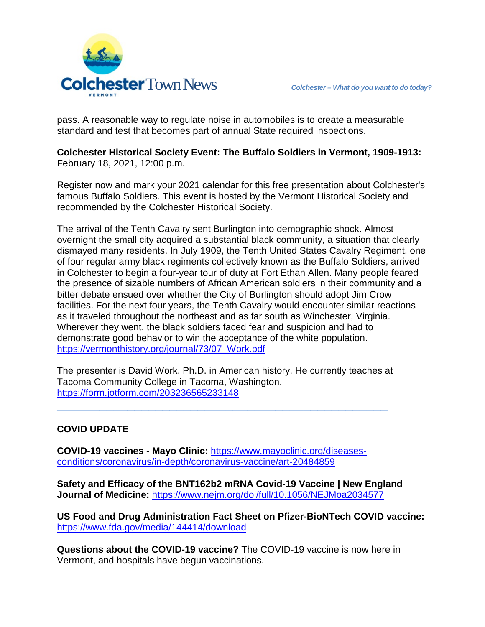

pass. A reasonable way to regulate noise in automobiles is to create a measurable standard and test that becomes part of annual State required inspections.

**Colchester Historical Society Event: The Buffalo Soldiers in Vermont, 1909-1913:**  February 18, 2021, 12:00 p.m.

Register now and mark your 2021 calendar for this free presentation about Colchester's famous Buffalo Soldiers. This event is hosted by the Vermont Historical Society and recommended by the Colchester Historical Society.

The arrival of the Tenth Cavalry sent Burlington into demographic shock. Almost overnight the small city acquired a substantial black community, a situation that clearly dismayed many residents. In July 1909, the Tenth United States Cavalry Regiment, one of four regular army black regiments collectively known as the Buffalo Soldiers, arrived in Colchester to begin a four-year tour of duty at Fort Ethan Allen. Many people feared the presence of sizable numbers of African American soldiers in their community and a bitter debate ensued over whether the City of Burlington should adopt Jim Crow facilities. For the next four years, the Tenth Cavalry would encounter similar reactions as it traveled throughout the northeast and as far south as Winchester, Virginia. Wherever they went, the black soldiers faced fear and suspicion and had to demonstrate good behavior to win the acceptance of the white population. [https://vermonthistory.org/journal/73/07\\_Work.pdf](https://vermonthistory.org/journal/73/07_Work.pdf)

The presenter is David Work, Ph.D. in American history. He currently teaches at Tacoma Community College in Tacoma, Washington. <https://form.jotform.com/203236565233148>

**\_\_\_\_\_\_\_\_\_\_\_\_\_\_\_\_\_\_\_\_\_\_\_\_\_\_\_\_\_\_\_\_\_\_\_\_\_\_\_\_\_\_\_\_\_\_\_**

## **COVID UPDATE**

**COVID-19 vaccines - Mayo Clinic:** [https://www.mayoclinic.org/diseases](https://www.mayoclinic.org/diseases-conditions/coronavirus/in-depth/coronavirus-vaccine/art-20484859)[conditions/coronavirus/in-depth/coronavirus-vaccine/art-20484859](https://www.mayoclinic.org/diseases-conditions/coronavirus/in-depth/coronavirus-vaccine/art-20484859)

**Safety and Efficacy of the BNT162b2 mRNA Covid-19 Vaccine | New England Journal of Medicine:** <https://www.nejm.org/doi/full/10.1056/NEJMoa2034577>

**US Food and Drug Administration Fact Sheet on Pfizer-BioNTech COVID vaccine:** <https://www.fda.gov/media/144414/download>

**Questions about the COVID-19 vaccine?** The COVID-19 vaccine is now here in Vermont, and hospitals have begun vaccinations.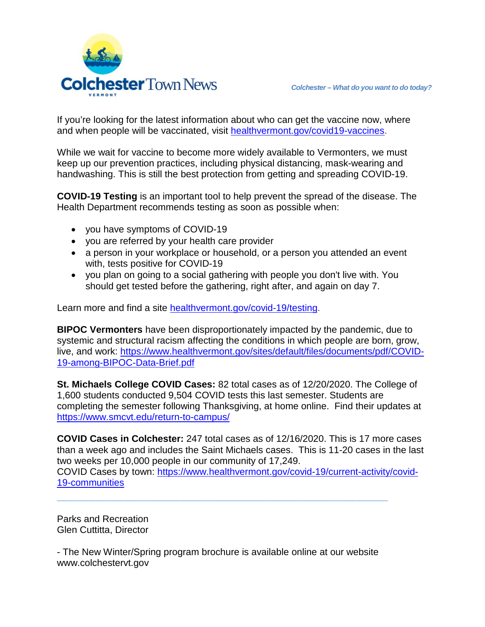

If you're looking for the latest information about who can get the vaccine now, where and when people will be vaccinated, visit [healthvermont.gov/covid19-vaccines.](http://healthvermont.gov/covid19-vaccines)

While we wait for vaccine to become more widely available to Vermonters, we must keep up our prevention practices, including physical distancing, mask-wearing and handwashing. This is still the best protection from getting and spreading COVID-19.

**COVID-19 Testing** is an important tool to help prevent the spread of the disease. The Health Department recommends testing as soon as possible when:

- you have symptoms of COVID-19
- you are referred by your health care provider
- a person in your workplace or household, or a person you attended an event with, tests positive for COVID-19
- you plan on going to a social gathering with people you don't live with. You should get tested before the gathering, right after, and again on day 7.

Learn more and find a site [healthvermont.gov/covid-19/testing.](http://healthvermont.gov/covid-19/testing)

**BIPOC Vermonters** have been disproportionately impacted by the pandemic, due to systemic and structural racism affecting the conditions in which people are born, grow, live, and work: [https://www.healthvermont.gov/sites/default/files/documents/pdf/COVID-](https://www.healthvermont.gov/sites/default/files/documents/pdf/COVID-19-among-BIPOC-Data-Brief.pdf)[19-among-BIPOC-Data-Brief.pdf](https://www.healthvermont.gov/sites/default/files/documents/pdf/COVID-19-among-BIPOC-Data-Brief.pdf)

**St. Michaels College COVID Cases:** 82 total cases as of 12/20/2020. The College of 1,600 students conducted 9,504 COVID tests this last semester. Students are completing the semester following Thanksgiving, at home online. Find their updates at <https://www.smcvt.edu/return-to-campus/>

**COVID Cases in Colchester:** 247 total cases as of 12/16/2020. This is 17 more cases than a week ago and includes the Saint Michaels cases. This is 11-20 cases in the last two weeks per 10,000 people in our community of 17,249. COVID Cases by town: [https://www.healthvermont.gov/covid-19/current-activity/covid-](https://www.healthvermont.gov/covid-19/current-activity/covid-19-communities)[19-communities](https://www.healthvermont.gov/covid-19/current-activity/covid-19-communities)

Parks and Recreation Glen Cuttitta, Director

- The New Winter/Spring program brochure is available online at our website www.colchestervt.gov

**\_\_\_\_\_\_\_\_\_\_\_\_\_\_\_\_\_\_\_\_\_\_\_\_\_\_\_\_\_\_\_\_\_\_\_\_\_\_\_\_\_\_\_\_\_\_\_**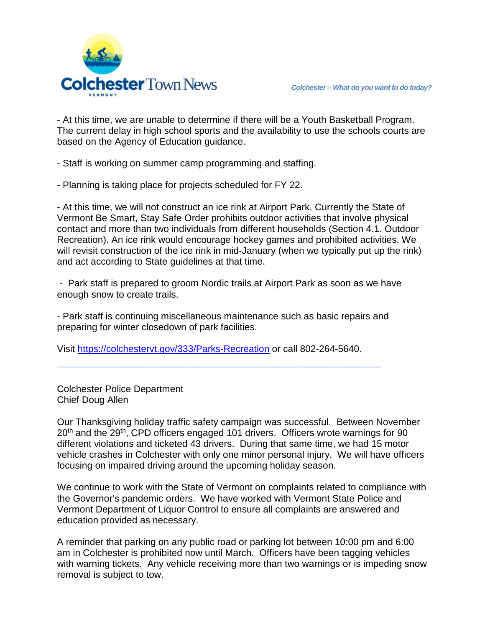

- At this time, we are unable to determine if there will be a Youth Basketball Program. The current delay in high school sports and the availability to use the schools courts are based on the Agency of Education guidance.

- Staff is working on summer camp programming and staffing.

- Planning is taking place for projects scheduled for FY 22.

- At this time, we will not construct an ice rink at Airport Park. Currently the State of Vermont Be Smart, Stay Safe Order prohibits outdoor activities that involve physical contact and more than two individuals from different households (Section 4.1. Outdoor Recreation). An ice rink would encourage hockey games and prohibited activities. We will revisit construction of the ice rink in mid-January (when we typically put up the rink) and act according to State guidelines at that time.

- Park staff is prepared to groom Nordic trails at Airport Park as soon as we have enough snow to create trails.

- Park staff is continuing miscellaneous maintenance such as basic repairs and preparing for winter closedown of park facilities.

Visit<https://colchestervt.gov/333/Parks-Recreation> or call 802-264-5640.

**\_\_\_\_\_\_\_\_\_\_\_\_\_\_\_\_\_\_\_\_\_\_\_\_\_\_\_\_\_\_\_\_\_\_\_\_\_\_\_\_\_\_\_\_\_\_**

Colchester Police Department Chief Doug Allen

Our Thanksgiving holiday traffic safety campaign was successful. Between November 20<sup>th</sup> and the 29<sup>th</sup>, CPD officers engaged 101 drivers. Officers wrote warnings for 90 different violations and ticketed 43 drivers. During that same time, we had 15 motor vehicle crashes in Colchester with only one minor personal injury. We will have officers focusing on impaired driving around the upcoming holiday season.

We continue to work with the State of Vermont on complaints related to compliance with the Governor's pandemic orders. We have worked with Vermont State Police and Vermont Department of Liquor Control to ensure all complaints are answered and education provided as necessary.

A reminder that parking on any public road or parking lot between 10:00 pm and 6:00 am in Colchester is prohibited now until March. Officers have been tagging vehicles with warning tickets. Any vehicle receiving more than two warnings or is impeding snow removal is subject to tow.